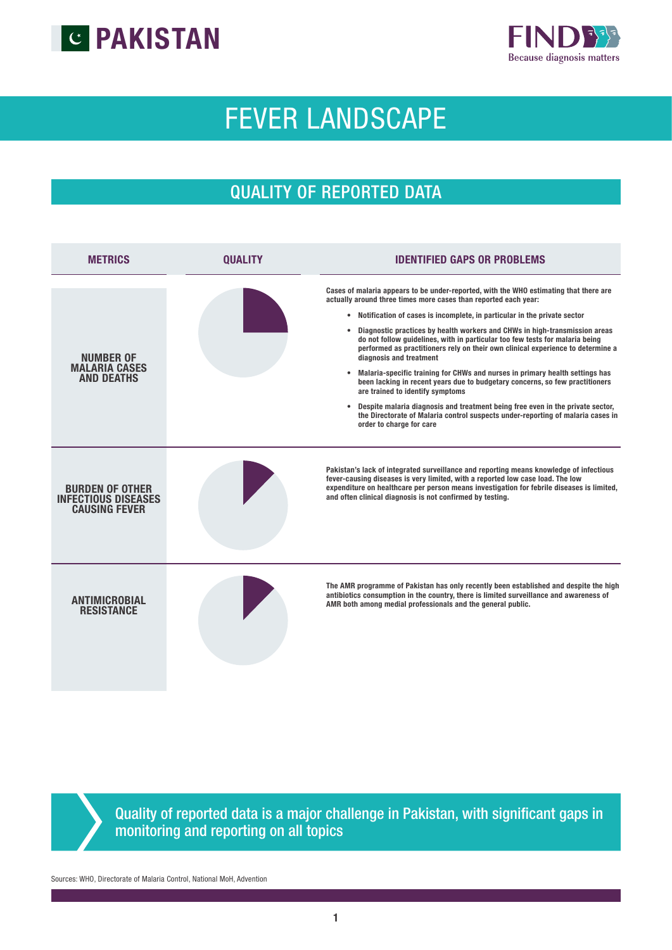



# FEVER LANDSCAPE

## QUALITY OF REPORTED DATA

| <b>METRICS</b>                                                               | <b>OUALITY</b> | <b>IDENTIFIED GAPS OR PROBLEMS</b>                                                                                                                                                                                                                                                                                                                                                                                                                                                                                                                                                                                                                                                                                                                                                                                                                                                                                                                |
|------------------------------------------------------------------------------|----------------|---------------------------------------------------------------------------------------------------------------------------------------------------------------------------------------------------------------------------------------------------------------------------------------------------------------------------------------------------------------------------------------------------------------------------------------------------------------------------------------------------------------------------------------------------------------------------------------------------------------------------------------------------------------------------------------------------------------------------------------------------------------------------------------------------------------------------------------------------------------------------------------------------------------------------------------------------|
| <b>NUMBER OF</b><br><b>MALARIA CASES</b><br><b>AND DEATHS</b>                |                | Cases of malaria appears to be under-reported, with the WHO estimating that there are<br>actually around three times more cases than reported each year:<br>• Notification of cases is incomplete, in particular in the private sector<br>Diagnostic practices by health workers and CHWs in high-transmission areas<br>do not follow guidelines, with in particular too few tests for malaria being<br>performed as practitioners rely on their own clinical experience to determine a<br>diagnosis and treatment<br>Malaria-specific training for CHWs and nurses in primary health settings has<br>$\bullet$<br>been lacking in recent years due to budgetary concerns, so few practitioners<br>are trained to identify symptoms<br>Despite malaria diagnosis and treatment being free even in the private sector,<br>$\bullet$<br>the Directorate of Malaria control suspects under-reporting of malaria cases in<br>order to charge for care |
| <b>BURDEN OF OTHER</b><br><b>INFECTIOUS DISEASES</b><br><b>CAUSING FEVER</b> |                | Pakistan's lack of integrated surveillance and reporting means knowledge of infectious<br>fever-causing diseases is very limited, with a reported low case load. The low<br>expenditure on healthcare per person means investigation for febrile diseases is limited,<br>and often clinical diagnosis is not confirmed by testing.                                                                                                                                                                                                                                                                                                                                                                                                                                                                                                                                                                                                                |
| <b>ANTIMICROBIAL</b><br><b>RESISTANCE</b>                                    |                | The AMR programme of Pakistan has only recently been established and despite the high<br>antibiotics consumption in the country, there is limited surveillance and awareness of<br>AMR both among medial professionals and the general public.                                                                                                                                                                                                                                                                                                                                                                                                                                                                                                                                                                                                                                                                                                    |

Quality of reported data is a major challenge in Pakistan, with significant gaps in monitoring and reporting on all topics

Sources: WHO, Directorate of Malaria Control, National MoH, Advention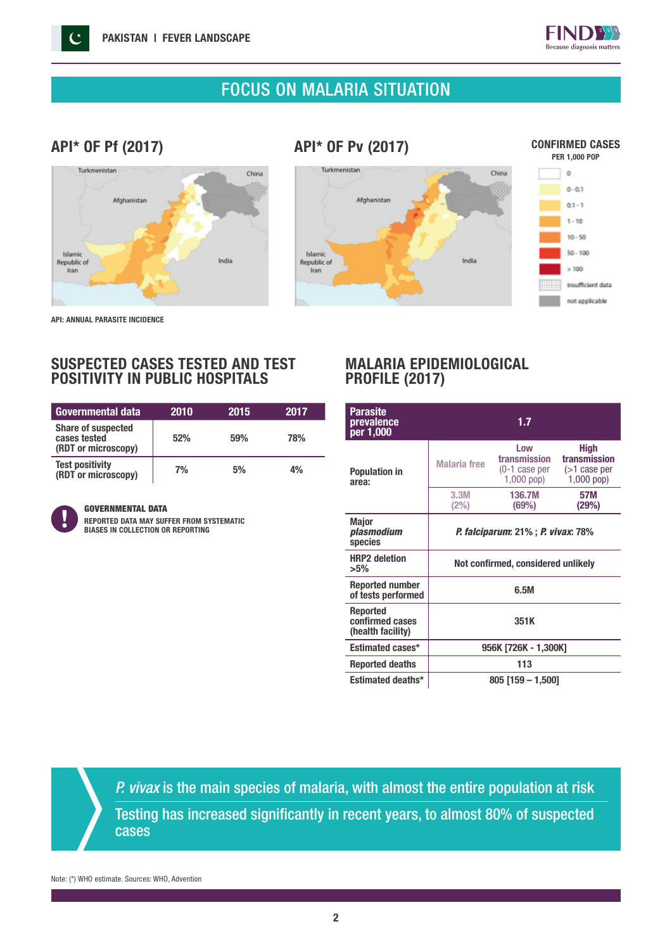

### FOCUS ON MALARIA SITUATION

#### API\* OF Pf (2017)

#### API\* OF Pv (2017)







API: ANNUAL PARASITE INCIDENCE

#### SUSPECTED CASES TESTED AND TEST POSITIVITY IN PUBLIC HOSPITALS

| <b>Governmental data</b>                                         | 2010 | 2015 | 2017 |
|------------------------------------------------------------------|------|------|------|
| <b>Share of suspected</b><br>cases tested<br>(RDT or microscopy) | 52%  | 59%  | 78%  |
| <b>Test positivity</b><br>(RDT or microscopy)                    | 7%   | 5%   | 4%   |



#### GOVERNMENTAL DATA

REPORTED DATA MAY SUFFER FROM SYSTEMATIC BIASES IN COLLECTION OR REPORTING

#### MALARIA EPIDEMIOLOGICAL PROFILE (2017)

| <b>Parasite</b><br>prevalence<br>per 1,000              |                                                   | 1.7                                                     |                                                         |  |
|---------------------------------------------------------|---------------------------------------------------|---------------------------------------------------------|---------------------------------------------------------|--|
| <b>Population in</b><br>area:                           | <b>Malaria</b> free                               | Low<br>transmission<br>$(0-1)$ case per<br>$1,000$ pop) | High<br>transmission<br>$($ >1 case per<br>$1,000$ pop) |  |
|                                                         | 3.3M<br>(2%)                                      | 136.7M<br>(69%)                                         | 57M<br>(29%)                                            |  |
| <b>Major</b><br>plasmodium<br>species                   | <i>P. falciparum</i> : 21%; <i>P. vivax</i> : 78% |                                                         |                                                         |  |
| <b>HRP2</b> deletion<br>$>5\%$                          | Not confirmed, considered unlikely                |                                                         |                                                         |  |
| <b>Reported number</b><br>of tests performed            | 6.5M                                              |                                                         |                                                         |  |
| <b>Reported</b><br>confirmed cases<br>(health facility) | 351K                                              |                                                         |                                                         |  |
| Estimated cases*                                        | 956K [726K - 1,300K]                              |                                                         |                                                         |  |
| <b>Reported deaths</b>                                  | 113                                               |                                                         |                                                         |  |
| Estimated deaths*                                       | 805 [159 – 1,500]                                 |                                                         |                                                         |  |

*P. vivax* is the main species of malaria, with almost the entire population at risk Testing has increased significantly in recent years, to almost 80% of suspected cases

Note: (\*) WHO estimate. Sources: WHO, Advention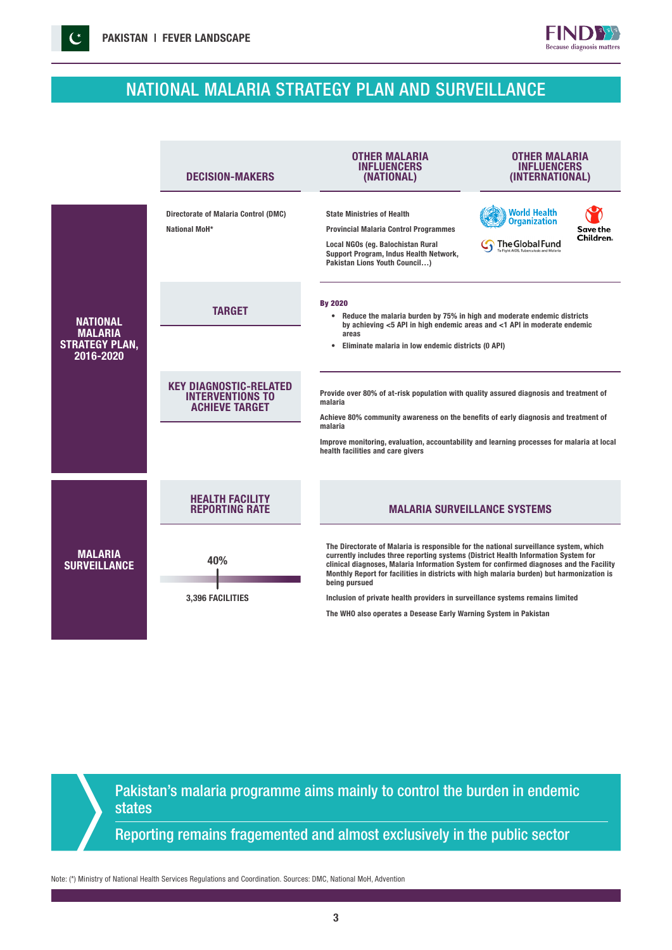## NATIONAL MALARIA STRATEGY PLAN AND SURVEILLANCE

**FINDB** Because diagnosis matters

| <b>DECISION-MAKERS</b>                                                            | <b>OTHER MALARIA</b><br><b>INFLUENCERS</b><br>(NATIONAL)                                                                                                                                                                                                                                                                                                                                                                                                                                                                                  | OTHER MALARIA<br><b>INFLUENCERS</b><br>(INTERNATIONAL)        |                                                                                                                                                                                                                                                          |  |
|-----------------------------------------------------------------------------------|-------------------------------------------------------------------------------------------------------------------------------------------------------------------------------------------------------------------------------------------------------------------------------------------------------------------------------------------------------------------------------------------------------------------------------------------------------------------------------------------------------------------------------------------|---------------------------------------------------------------|----------------------------------------------------------------------------------------------------------------------------------------------------------------------------------------------------------------------------------------------------------|--|
| <b>Directorate of Malaria Control (DMC)</b><br>National MoH*                      | <b>State Ministries of Health</b><br><b>Provincial Malaria Control Programmes</b><br>Local NGOs (eg. Balochistan Rural<br>Support Program, Indus Health Network,<br>Pakistan Lions Youth Council)                                                                                                                                                                                                                                                                                                                                         | <b>World Health</b><br><b>Organization</b><br>The Global Fund | Save the<br>Children.                                                                                                                                                                                                                                    |  |
| <b>TARGET</b>                                                                     | <b>By 2020</b><br>areas<br>$\bullet$                                                                                                                                                                                                                                                                                                                                                                                                                                                                                                      |                                                               |                                                                                                                                                                                                                                                          |  |
| <b>KEY DIAGNOSTIC-RELATED</b><br><b>INTERVENTIONS TO</b><br><b>ACHIEVE TARGET</b> | Provide over 80% of at-risk population with quality assured diagnosis and treatment of<br>malaria<br>Achieve 80% community awareness on the benefits of early diagnosis and treatment of<br>malaria<br>Improve monitoring, evaluation, accountability and learning processes for malaria at local<br>health facilities and care givers                                                                                                                                                                                                    |                                                               |                                                                                                                                                                                                                                                          |  |
| <b>HEALTH FACILITY</b><br><b>REPORTING RATE</b>                                   |                                                                                                                                                                                                                                                                                                                                                                                                                                                                                                                                           |                                                               |                                                                                                                                                                                                                                                          |  |
| 40%<br>3,396 FACILITIES                                                           | The Directorate of Malaria is responsible for the national surveillance system, which<br>currently includes three reporting systems (District Health Information System for<br>clinical diagnoses, Malaria Information System for confirmed diagnoses and the Facility<br>Monthly Report for facilities in districts with high malaria burden) but harmonization is<br>being pursued<br>Inclusion of private health providers in surveillance systems remains limited<br>The WHO also operates a Desease Early Warning System in Pakistan |                                                               |                                                                                                                                                                                                                                                          |  |
|                                                                                   |                                                                                                                                                                                                                                                                                                                                                                                                                                                                                                                                           |                                                               | • Reduce the malaria burden by 75% in high and moderate endemic districts<br>by achieving $<$ 5 API in high endemic areas and $<$ 1 API in moderate endemic<br>Eliminate malaria in low endemic districts (0 API)<br><b>MALARIA SURVEILLANCE SYSTEMS</b> |  |

Pakistan's malaria programme aims mainly to control the burden in endemic states

Reporting remains fragemented and almost exclusively in the public sector

Note: (\*) Ministry of National Health Services Regulations and Coordination. Sources: DMC, National MoH, Advention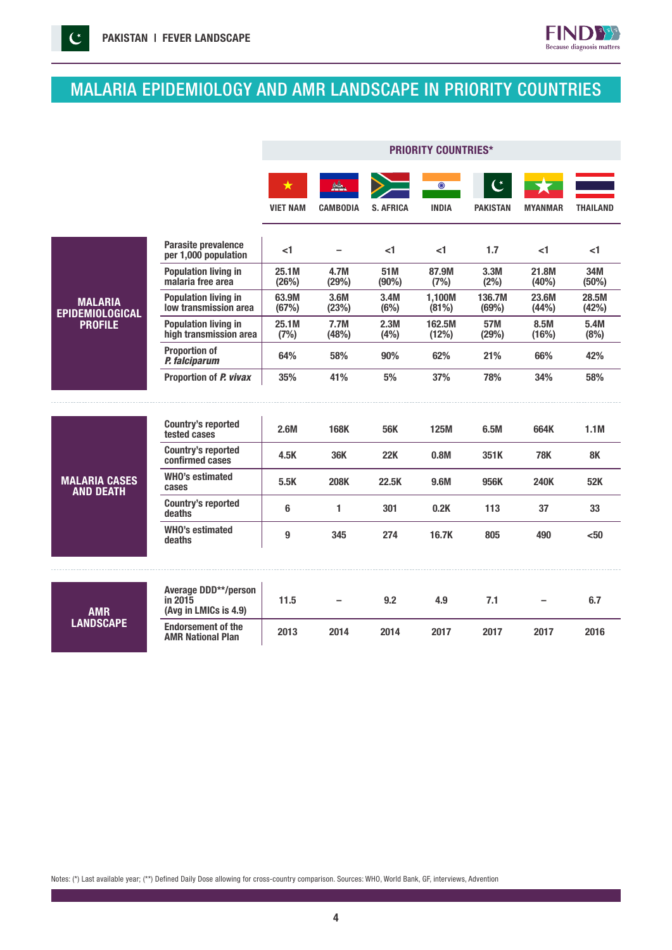$\mathcal{C}$ 



 $FIND$ 

Because diagnosis matters

|                                          |                                                                 | <b>PRIORITY COUNTRIES*</b> |                 |                  |                         |                                    |                |                 |
|------------------------------------------|-----------------------------------------------------------------|----------------------------|-----------------|------------------|-------------------------|------------------------------------|----------------|-----------------|
|                                          |                                                                 | ★<br><b>VIET NAM</b>       | <b>CAMBODIA</b> | <b>S. AFRICA</b> | $\odot$<br><b>INDIA</b> | $\mathcal{C}^*$<br><b>PAKISTAN</b> | <b>MYANMAR</b> | <b>THAILAND</b> |
|                                          | <b>Parasite prevalence</b><br>per 1,000 population              | <1                         |                 | <1               | < 1                     | 1.7                                | -1             | <1              |
|                                          | <b>Population living in</b><br>malaria free area                | 25.1M<br>(26%)             | 4.7M<br>(29%)   | 51M<br>(90%)     | 87.9M<br>(7%)           | 3.3M<br>(2%)                       | 21.8M<br>(40%) | 34M<br>(50%)    |
| <b>MALARIA</b><br><b>EPIDEMIOLOGICAL</b> | <b>Population living in</b><br>low transmission area            | 63.9M<br>(67%)             | 3.6M<br>(23%)   | 3.4M<br>(6%)     | 1,100M<br>(81%)         | 136.7M<br>(69%)                    | 23.6M<br>(44%) | 28.5M<br>(42%)  |
| <b>PROFILE</b>                           | <b>Population living in</b><br>high transmission area           | 25.1M<br>(7%)              | 7.7M<br>(48%)   | 2.3M<br>(4%)     | 162.5M<br>(12%)         | 57M<br>(29%)                       | 8.5M<br>(16%)  | 5.4M<br>(8%)    |
|                                          | <b>Proportion of</b><br>P. falciparum                           | 64%                        | 58%             | 90%              | 62%                     | 21%                                | 66%            | 42%             |
|                                          | Proportion of P. vivax                                          | 35%                        | 41%             | 5%               | 37%                     | 78%                                | 34%            | 58%             |
|                                          |                                                                 |                            |                 |                  |                         |                                    |                |                 |
| <b>MALARIA CASES</b><br><b>AND DEATH</b> | <b>Country's reported</b><br>tested cases                       | 2.6M                       | <b>168K</b>     | <b>56K</b>       | <b>125M</b>             | 6.5M                               | 664K           | 1.1M            |
|                                          | <b>Country's reported</b><br>confirmed cases                    | 4.5K                       | 36K             | 22K              | 0.8M                    | 351K                               | <b>78K</b>     | 8K              |
|                                          | <b>WHO's estimated</b><br>cases                                 | 5.5K                       | <b>208K</b>     | 22.5K            | 9.6M                    | 956K                               | <b>240K</b>    | 52K             |
|                                          | <b>Country's reported</b><br>deaths                             | 6                          | 1               | 301              | 0.2K                    | 113                                | 37             | 33              |
|                                          | <b>WHO's estimated</b><br>deaths                                | 9                          | 345             | 274              | 16.7K                   | 805                                | 490            | $50$            |
|                                          |                                                                 |                            |                 |                  |                         |                                    |                |                 |
| <b>AMR</b><br><b>LANDSCAPE</b>           | <b>Average DDD**/person</b><br>in 2015<br>(Avg in LMICs is 4.9) | 11.5                       |                 | 9.2              | 4.9                     | 7.1                                |                | 6.7             |
|                                          | <b>Endorsement of the</b><br><b>AMR National Plan</b>           | 2013                       | 2014            | 2014             | 2017                    | 2017                               | 2017           | 2016            |

Notes: (\*) Last available year; (\*\*) Defined Daily Dose allowing for cross-country comparison. Sources: WHO, World Bank, GF, interviews, Advention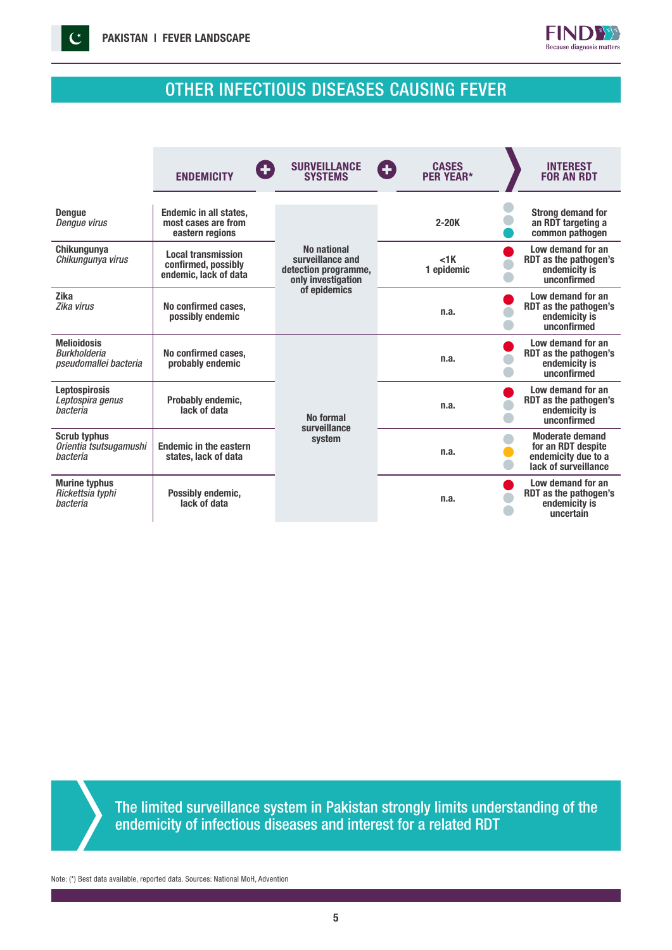



## OTHER INFECTIOUS DISEASES CAUSING FEVER

|                                                                    | <b>ENDEMICITY</b>                                                         | <b>SURVEILLANCE</b><br><b>SYSTEMS</b>                                         | <b>CASES</b><br>Œ<br><b>PER YEAR*</b> | <b>INTEREST</b><br><b>FOR AN RDT</b>                                                        |
|--------------------------------------------------------------------|---------------------------------------------------------------------------|-------------------------------------------------------------------------------|---------------------------------------|---------------------------------------------------------------------------------------------|
| <b>Dengue</b><br><b>Denque virus</b>                               | <b>Endemic in all states,</b><br>most cases are from<br>eastern regions   |                                                                               | $2 - 20K$                             | <b>Strong demand for</b><br>an RDT targeting a<br>common pathogen                           |
| <b>Chikungunya</b><br>Chikungunya virus                            | <b>Local transmission</b><br>confirmed, possibly<br>endemic, lack of data | No national<br>surveillance and<br>detection programme,<br>only investigation | $<$ 1 $K$<br>1 epidemic               | Low demand for an<br>RDT as the pathogen's<br>endemicity is<br>unconfirmed                  |
| <b>Zika</b><br>Zika virus                                          | No confirmed cases,<br>possibly endemic                                   | of epidemics                                                                  | n.a.                                  | Low demand for an<br>RDT as the pathogen's<br>endemicity is<br>unconfirmed                  |
| <b>Melioidosis</b><br><b>Burkholderia</b><br>pseudomallei bacteria | No confirmed cases.<br>probably endemic                                   |                                                                               | n.a.                                  | Low demand for an<br>RDT as the pathogen's<br>endemicity is<br>unconfirmed                  |
| <b>Leptospirosis</b><br>Leptospira genus<br>hacteria               | Probably endemic,<br>lack of data                                         | No formal<br>surveillance                                                     | n.a.                                  | Low demand for an<br>RDT as the pathogen's<br>endemicity is<br>unconfirmed                  |
| <b>Scrub typhus</b><br>Orientia tsutsugamushi<br>bacteria          | <b>Endemic in the eastern</b><br>states, lack of data                     | system                                                                        | n.a.                                  | <b>Moderate demand</b><br>for an RDT despite<br>endemicity due to a<br>lack of surveillance |
| <b>Murine typhus</b><br>Rickettsia typhi<br>bacteria               | Possibly endemic,<br>lack of data                                         |                                                                               | n.a.                                  | Low demand for an<br>RDT as the pathogen's<br>endemicity is<br>uncertain                    |

The limited surveillance system in Pakistan strongly limits understanding of the endemicity of infectious diseases and interest for a related RDT

Note: (\*) Best data available, reported data. Sources: National MoH, Advention